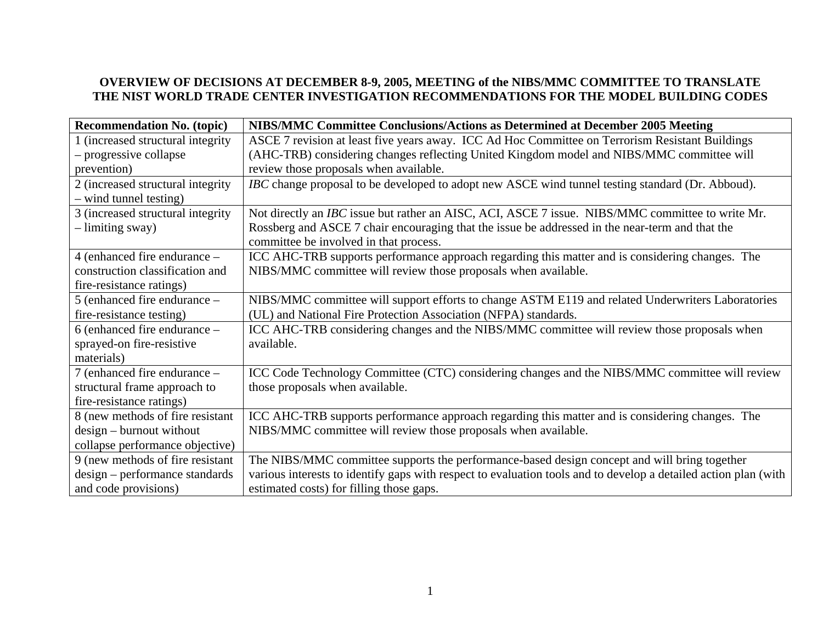## **OVERVIEW OF DECISIONS AT DECEMBER 8-9, 2005, MEETING of the NIBS/MMC COMMITTEE TO TRANSLATE THE NIST WORLD TRADE CENTER INVESTIGATION RECOMMENDATIONS FOR THE MODEL BUILDING CODES**

| <b>Recommendation No. (topic)</b>  | NIBS/MMC Committee Conclusions/Actions as Determined at December 2005 Meeting                                   |
|------------------------------------|-----------------------------------------------------------------------------------------------------------------|
| 1 (increased structural integrity) | ASCE 7 revision at least five years away. ICC Ad Hoc Committee on Terrorism Resistant Buildings                 |
| - progressive collapse             | (AHC-TRB) considering changes reflecting United Kingdom model and NIBS/MMC committee will                       |
| prevention)                        | review those proposals when available.                                                                          |
| 2 (increased structural integrity) | IBC change proposal to be developed to adopt new ASCE wind tunnel testing standard (Dr. Abboud).                |
| - wind tunnel testing)             |                                                                                                                 |
| 3 (increased structural integrity  | Not directly an <i>IBC</i> issue but rather an AISC, ACI, ASCE 7 issue. NIBS/MMC committee to write Mr.         |
| - limiting sway)                   | Rossberg and ASCE 7 chair encouraging that the issue be addressed in the near-term and that the                 |
|                                    | committee be involved in that process.                                                                          |
| 4 (enhanced fire endurance –       | ICC AHC-TRB supports performance approach regarding this matter and is considering changes. The                 |
| construction classification and    | NIBS/MMC committee will review those proposals when available.                                                  |
| fire-resistance ratings)           |                                                                                                                 |
| 5 (enhanced fire endurance –       | NIBS/MMC committee will support efforts to change ASTM E119 and related Underwriters Laboratories               |
| fire-resistance testing)           | (UL) and National Fire Protection Association (NFPA) standards.                                                 |
| 6 (enhanced fire endurance -       | ICC AHC-TRB considering changes and the NIBS/MMC committee will review those proposals when                     |
| sprayed-on fire-resistive          | available.                                                                                                      |
| materials)                         |                                                                                                                 |
| 7 (enhanced fire endurance -       | ICC Code Technology Committee (CTC) considering changes and the NIBS/MMC committee will review                  |
| structural frame approach to       | those proposals when available.                                                                                 |
| fire-resistance ratings)           |                                                                                                                 |
| 8 (new methods of fire resistant   | ICC AHC-TRB supports performance approach regarding this matter and is considering changes. The                 |
| $design - burnout without$         | NIBS/MMC committee will review those proposals when available.                                                  |
| collapse performance objective)    |                                                                                                                 |
| 9 (new methods of fire resistant   | The NIBS/MMC committee supports the performance-based design concept and will bring together                    |
| design – performance standards     | various interests to identify gaps with respect to evaluation tools and to develop a detailed action plan (with |
| and code provisions)               | estimated costs) for filling those gaps.                                                                        |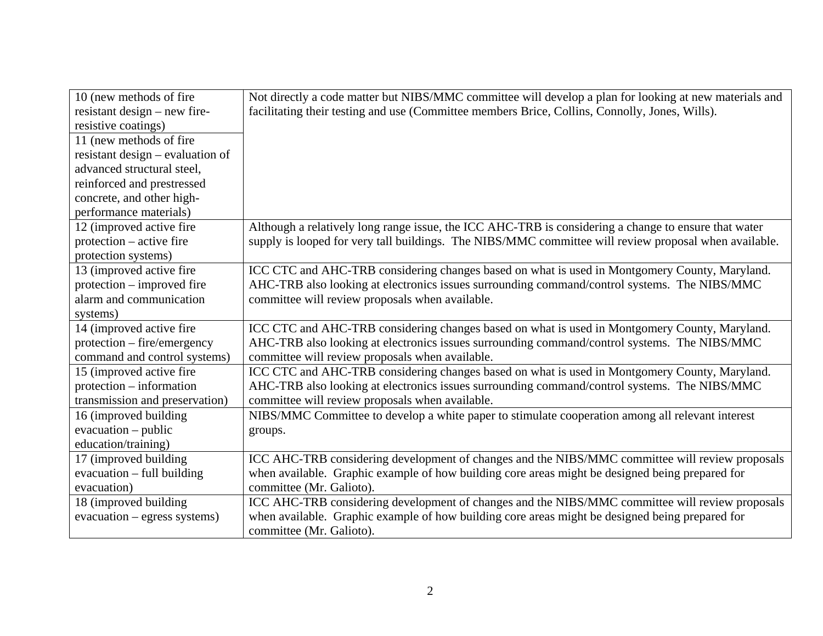| 10 (new methods of fire             | Not directly a code matter but NIBS/MMC committee will develop a plan for looking at new materials and |
|-------------------------------------|--------------------------------------------------------------------------------------------------------|
| resistant design $-$ new fire-      | facilitating their testing and use (Committee members Brice, Collins, Connolly, Jones, Wills).         |
| resistive coatings)                 |                                                                                                        |
| 11 (new methods of fire             |                                                                                                        |
| resistant design $-$ evaluation of  |                                                                                                        |
| advanced structural steel,          |                                                                                                        |
| reinforced and prestressed          |                                                                                                        |
| concrete, and other high-           |                                                                                                        |
| performance materials)              |                                                                                                        |
| 12 (improved active fire)           | Although a relatively long range issue, the ICC AHC-TRB is considering a change to ensure that water   |
| $protection - active fire$          | supply is looped for very tall buildings. The NIBS/MMC committee will review proposal when available.  |
| protection systems)                 |                                                                                                        |
| 13 (improved active fire            | ICC CTC and AHC-TRB considering changes based on what is used in Montgomery County, Maryland.          |
| protection – improved fire          | AHC-TRB also looking at electronics issues surrounding command/control systems. The NIBS/MMC           |
| alarm and communication             | committee will review proposals when available.                                                        |
| systems)                            |                                                                                                        |
| 14 (improved active fire            | ICC CTC and AHC-TRB considering changes based on what is used in Montgomery County, Maryland.          |
| protection – fire/emergency         | AHC-TRB also looking at electronics issues surrounding command/control systems. The NIBS/MMC           |
| command and control systems)        | committee will review proposals when available.                                                        |
| 15 (improved active fire            | ICC CTC and AHC-TRB considering changes based on what is used in Montgomery County, Maryland.          |
| protection – information            | AHC-TRB also looking at electronics issues surrounding command/control systems. The NIBS/MMC           |
| transmission and preservation)      | committee will review proposals when available.                                                        |
| 16 (improved building)              | NIBS/MMC Committee to develop a white paper to stimulate cooperation among all relevant interest       |
| $evacuation - public$               | groups.                                                                                                |
| education/training)                 |                                                                                                        |
| 17 (improved building               | ICC AHC-TRB considering development of changes and the NIBS/MMC committee will review proposals        |
| $\alpha$ evacuation – full building | when available. Graphic example of how building core areas might be designed being prepared for        |
| evacuation)                         | committee (Mr. Galioto).                                                                               |
| 18 (improved building               | ICC AHC-TRB considering development of changes and the NIBS/MMC committee will review proposals        |
| evacuation – egress systems)        | when available. Graphic example of how building core areas might be designed being prepared for        |
|                                     | committee (Mr. Galioto).                                                                               |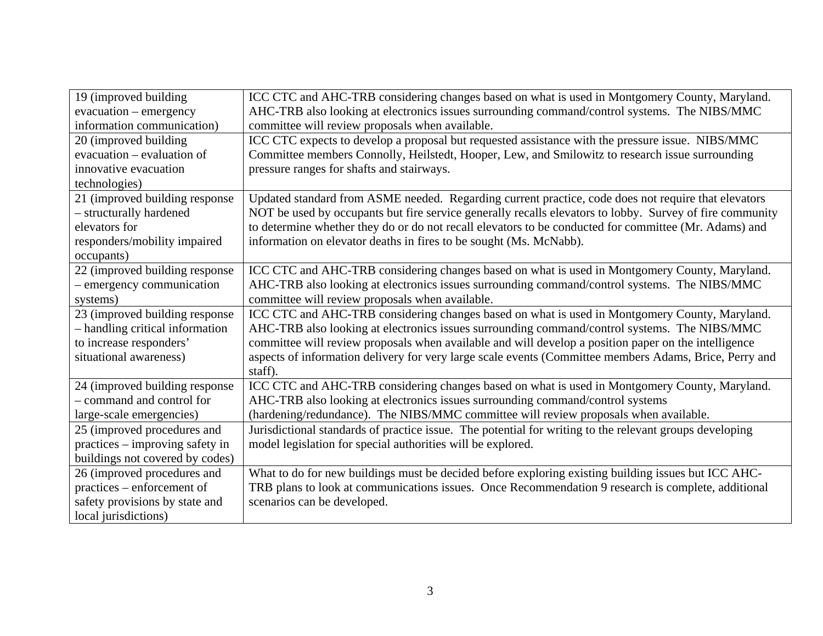| 19 (improved building           | ICC CTC and AHC-TRB considering changes based on what is used in Montgomery County, Maryland.            |
|---------------------------------|----------------------------------------------------------------------------------------------------------|
| evacuation - emergency          | AHC-TRB also looking at electronics issues surrounding command/control systems. The NIBS/MMC             |
| information communication)      | committee will review proposals when available.                                                          |
| 20 (improved building)          | ICC CTC expects to develop a proposal but requested assistance with the pressure issue. NIBS/MMC         |
| evacuation – evaluation of      | Committee members Connolly, Heilstedt, Hooper, Lew, and Smilowitz to research issue surrounding          |
| innovative evacuation           | pressure ranges for shafts and stairways.                                                                |
| technologies)                   |                                                                                                          |
| 21 (improved building response  | Updated standard from ASME needed. Regarding current practice, code does not require that elevators      |
| - structurally hardened         | NOT be used by occupants but fire service generally recalls elevators to lobby. Survey of fire community |
| elevators for                   | to determine whether they do or do not recall elevators to be conducted for committee (Mr. Adams) and    |
| responders/mobility impaired    | information on elevator deaths in fires to be sought (Ms. McNabb).                                       |
| occupants)                      |                                                                                                          |
| 22 (improved building response  | ICC CTC and AHC-TRB considering changes based on what is used in Montgomery County, Maryland.            |
| - emergency communication       | AHC-TRB also looking at electronics issues surrounding command/control systems. The NIBS/MMC             |
| systems)                        | committee will review proposals when available.                                                          |
| 23 (improved building response  | ICC CTC and AHC-TRB considering changes based on what is used in Montgomery County, Maryland.            |
| - handling critical information | AHC-TRB also looking at electronics issues surrounding command/control systems. The NIBS/MMC             |
| to increase responders'         | committee will review proposals when available and will develop a position paper on the intelligence     |
| situational awareness)          | aspects of information delivery for very large scale events (Committee members Adams, Brice, Perry and   |
|                                 | staff).                                                                                                  |
| 24 (improved building response  | ICC CTC and AHC-TRB considering changes based on what is used in Montgomery County, Maryland.            |
| - command and control for       | AHC-TRB also looking at electronics issues surrounding command/control systems                           |
| large-scale emergencies)        | (hardening/redundance). The NIBS/MMC committee will review proposals when available.                     |
| 25 (improved procedures and     | Jurisdictional standards of practice issue. The potential for writing to the relevant groups developing  |
| practices – improving safety in | model legislation for special authorities will be explored.                                              |
| buildings not covered by codes) |                                                                                                          |
| 26 (improved procedures and     | What to do for new buildings must be decided before exploring existing building issues but ICC AHC-      |
| practices – enforcement of      | TRB plans to look at communications issues. Once Recommendation 9 research is complete, additional       |
| safety provisions by state and  | scenarios can be developed.                                                                              |
| local jurisdictions)            |                                                                                                          |